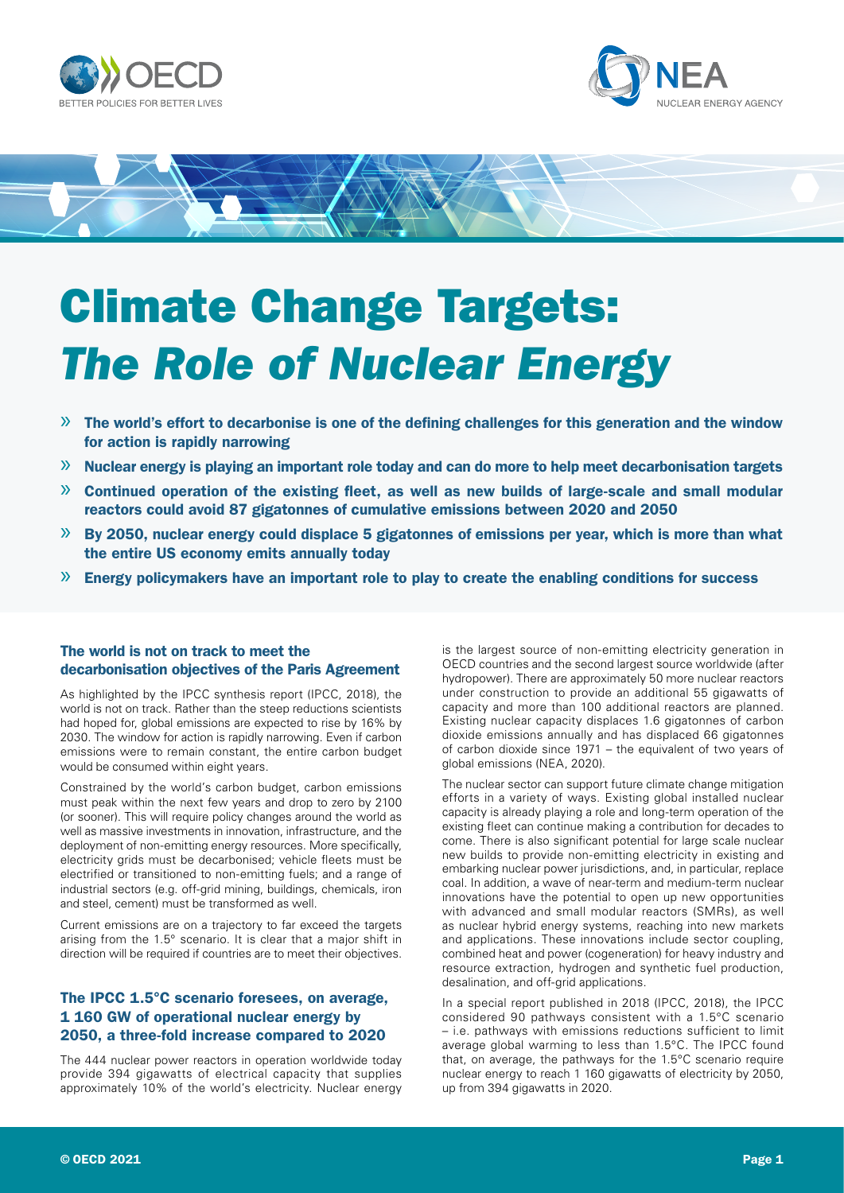





# Climate Change Targets: *The Role of Nuclear Energy*

- $\gg$  The world's effort to decarbonise is one of the defining challenges for this generation and the window for action is rapidly narrowing
- » Nuclear energy is playing an important role today and can do more to help meet decarbonisation targets
- $\gg$  Continued operation of the existing fleet, as well as new builds of large-scale and small modular reactors could avoid 87 gigatonnes of cumulative emissions between 2020 and 2050
- » By 2050, nuclear energy could displace 5 gigatonnes of emissions per year, which is more than what the entire US economy emits annually today
- » Energy policymakers have an important role to play to create the enabling conditions for success

# The world is not on track to meet the decarbonisation objectives of the Paris Agreement

As highlighted by the IPCC synthesis report (IPCC, 2018), the world is not on track. Rather than the steep reductions scientists had hoped for, global emissions are expected to rise by 16% by 2030. The window for action is rapidly narrowing. Even if carbon emissions were to remain constant, the entire carbon budget would be consumed within eight years.

Constrained by the world's carbon budget, carbon emissions must peak within the next few years and drop to zero by 2100 (or sooner). This will require policy changes around the world as well as massive investments in innovation, infrastructure, and the deployment of non-emitting energy resources. More specifically, electricity grids must be decarbonised; vehicle fleets must be electrified or transitioned to non-emitting fuels; and a range of industrial sectors (e.g. off-grid mining, buildings, chemicals, iron and steel, cement) must be transformed as well.

Current emissions are on a trajectory to far exceed the targets arising from the 1.5° scenario. It is clear that a major shift in direction will be required if countries are to meet their objectives.

# The IPCC 1.5°C scenario foresees, on average, 1 160 GW of operational nuclear energy by 2050, a three-fold increase compared to 2020

The 444 nuclear power reactors in operation worldwide today provide 394 gigawatts of electrical capacity that supplies approximately 10% of the world's electricity. Nuclear energy is the largest source of non-emitting electricity generation in OECD countries and the second largest source worldwide (after hydropower). There are approximately 50 more nuclear reactors under construction to provide an additional 55 gigawatts of capacity and more than 100 additional reactors are planned. Existing nuclear capacity displaces 1.6 gigatonnes of carbon dioxide emissions annually and has displaced 66 gigatonnes of carbon dioxide since 1971 – the equivalent of two years of global emissions (NEA, 2020).

The nuclear sector can support future climate change mitigation efforts in a variety of ways. Existing global installed nuclear capacity is already playing a role and long-term operation of the existing fleet can continue making a contribution for decades to come. There is also significant potential for large scale nuclear new builds to provide non-emitting electricity in existing and embarking nuclear power jurisdictions, and, in particular, replace coal. In addition, a wave of near-term and medium-term nuclear innovations have the potential to open up new opportunities with advanced and small modular reactors (SMRs), as well as nuclear hybrid energy systems, reaching into new markets and applications. These innovations include sector coupling, combined heat and power (cogeneration) for heavy industry and resource extraction, hydrogen and synthetic fuel production, desalination, and off-grid applications.

In a special report published in 2018 (IPCC, 2018), the IPCC considered 90 pathways consistent with a 1.5°C scenario – i.e. pathways with emissions reductions sufficient to limit average global warming to less than 1.5°C. The IPCC found that, on average, the pathways for the 1.5°C scenario require nuclear energy to reach 1 160 gigawatts of electricity by 2050, up from 394 gigawatts in 2020.